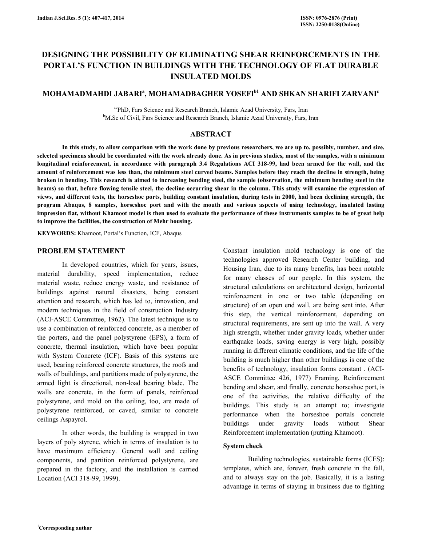# DESIGNING THE POSSIBILITY OF ELIMINATING SHEAR REINFORCEMENTS IN THE PORTAL'S FUNCTION IN BUILDINGS WITH THE TECHNOLOGY OF FLAT DURABLE INSULATED MOLDS

## MOHAMADMAHDI JABARIª, MOHAMADBAGHER YOSEFI<sup>b1</sup> AND SHKAN SHARIFI ZARVANI<sup>c</sup>

acPhD, Fars Science and Research Branch, Islamic Azad University, Fars, Iran <sup>b</sup>M.Sc of Civil, Fars Science and Research Branch, Islamic Azad University, Fars, Iran

## ABSTRACT

 In this study, to allow comparison with the work done by previous researchers, we are up to, possibly, number, and size, selected specimens should be coordinated with the work already done. As in previous studies, most of the samples, with a minimum longitudinal reinforcement, in accordance with paragraph 3.4 Regulations ACI 318-99, had been armed for the wall, and the amount of reinforcement was less than, the minimum steel curved beams. Samples before they reach the decline in strength, being broken in bending. This research is aimed to increasing bending steel, the sample (observation, the minimum bending steel in the beams) so that, before flowing tensile steel, the decline occurring shear in the column. This study will examine the expression of views, and different tests, the horseshoe ports, building constant insulation, during tests in 2000, had been declining strength, the program Abaqus, 8 samples, horseshoe port and with the mouth and various aspects of using technology, insulated lasting impression flat, without Khamoot model is then used to evaluate the performance of these instruments samples to be of great help to improve the facilities, the construction of Mehr housing.

KEYWORDS: Khamoot, Portal's Function, ICF, Abaqus

#### PROBLEM STATEMENT

 In developed countries, which for years, issues, material durability, speed implementation, reduce material waste, reduce energy waste, and resistance of buildings against natural disasters, being constant attention and research, which has led to, innovation, and modern techniques in the field of construction Industry (ACI-ASCE Committee, 1962). The latest technique is to use a combination of reinforced concrete, as a member of the porters, and the panel polystyrene (EPS), a form of concrete, thermal insulation, which have been popular with System Concrete (ICF). Basis of this systems are used, bearing reinforced concrete structures, the roofs and walls of buildings, and partitions made of polystyrene, the armed light is directional, non-load bearing blade. The walls are concrete, in the form of panels, reinforced polystyrene, and mold on the ceiling, too, are made of polystyrene reinforced, or caved, similar to concrete ceilings Aspayrol.

 In other words, the building is wrapped in two layers of poly styrene, which in terms of insulation is to have maximum efficiency. General wall and ceiling components, and partition reinforced polystyrene, are prepared in the factory, and the installation is carried Location (ACI 318-99, 1999).

Constant insulation mold technology is one of the technologies approved Research Center building, and Housing Iran, due to its many benefits, has been notable for many classes of our people. In this system, the structural calculations on architectural design, horizontal reinforcement in one or two table (depending on structure) of an open end wall, are being sent into. After this step, the vertical reinforcement, depending on structural requirements, are sent up into the wall. A very high strength, whether under gravity loads, whether under earthquake loads, saving energy is very high, possibly running in different climatic conditions, and the life of the building is much higher than other buildings is one of the benefits of technology, insulation forms constant . (ACI-ASCE Committee 426, 1977) Framing, Reinforcement bending and shear, and finally, concrete horseshoe port, is one of the activities, the relative difficulty of the buildings. This study is an attempt to; investigate performance when the horseshoe portals concrete buildings under gravity loads without Shear Reinforcement implementation (putting Khamoot).

#### System check

 Building technologies, sustainable forms (ICFS): templates, which are, forever, fresh concrete in the fall, and to always stay on the job. Basically, it is a lasting advantage in terms of staying in business due to fighting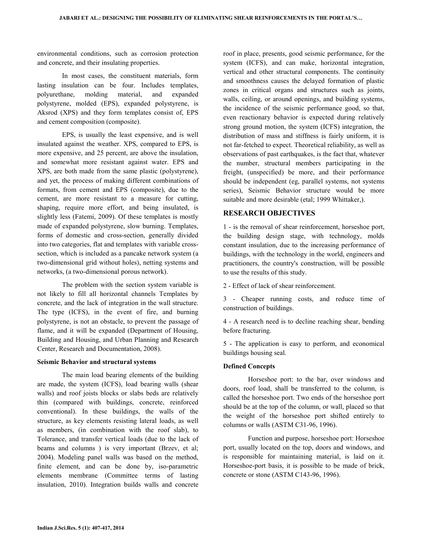environmental conditions, such as corrosion protection and concrete, and their insulating properties.

 In most cases, the constituent materials, form lasting insulation can be four. Includes templates, polyurethane, molding material, and expanded polystyrene, molded (EPS), expanded polystyrene, is Aksrod (XPS) and they form templates consist of, EPS and cement composition (composite).

 EPS, is usually the least expensive, and is well insulated against the weather. XPS, compared to EPS, is more expensive, and 25 percent, are above the insulation, and somewhat more resistant against water. EPS and XPS, are both made from the same plastic (polystyrene), and yet, the process of making different combinations of formats, from cement and EPS (composite), due to the cement, are more resistant to a measure for cutting, shaping, require more effort, and being insulated, is slightly less (Fatemi, 2009). Of these templates is mostly made of expanded polystyrene, slow burning. Templates, forms of domestic and cross-section, generally divided into two categories, flat and templates with variable crosssection, which is included as a pancake network system (a two-dimensional grid without holes), netting systems and networks, (a two-dimensional porous network).

 The problem with the section system variable is not likely to fill all horizontal channels Templates by concrete, and the lack of integration in the wall structure. The type (ICFS), in the event of fire, and burning polystyrene, is not an obstacle, to prevent the passage of flame, and it will be expanded (Department of Housing, Building and Housing, and Urban Planning and Research Center, Research and Documentation, 2008).

#### Seismic Behavior and structural systems

 The main load bearing elements of the building are made, the system (ICFS), load bearing walls (shear walls) and roof joists blocks or slabs beds are relatively thin (compared with buildings, concrete, reinforced conventional). In these buildings, the walls of the structure, as key elements resisting lateral loads, as well as members, (in combination with the roof slab), to Tolerance, and transfer vertical loads (due to the lack of beams and columns ) is very important (Brzev, et al; 2004). Modeling panel walls was based on the method, finite element, and can be done by, iso-parametric elements membrane (Committee terms of lasting insulation, 2010). Integration builds walls and concrete roof in place, presents, good seismic performance, for the system (ICFS), and can make, horizontal integration, vertical and other structural components. The continuity and smoothness causes the delayed formation of plastic zones in critical organs and structures such as joints, walls, ceiling, or around openings, and building systems, the incidence of the seismic performance good, so that, even reactionary behavior is expected during relatively strong ground motion, the system (ICFS) integration, the distribution of mass and stiffness is fairly uniform, it is not far-fetched to expect. Theoretical reliability, as well as observations of past earthquakes, is the fact that, whatever the number, structural members participating in the freight, (unspecified) be more, and their performance should be independent (eg, parallel systems, not systems series), Seismic Behavior structure would be more suitable and more desirable (etal; 1999 Whittaker,).

## RESEARCH OBJECTIVES

1 - is the removal of shear reinforcement, horseshoe port, the building design stage, with technology, molds constant insulation, due to the increasing performance of buildings, with the technology in the world, engineers and practitioners, the country's construction, will be possible to use the results of this study.

2 - Effect of lack of shear reinforcement.

3 - Cheaper running costs, and reduce time of construction of buildings.

4 - A research need is to decline reaching shear, bending before fracturing.

5 - The application is easy to perform, and economical buildings housing seal.

## Defined Concepts

 Horseshoe port: to the bar, over windows and doors, roof load, shall be transferred to the column, is called the horseshoe port. Two ends of the horseshoe port should be at the top of the column, or wall, placed so that the weight of the horseshoe port shifted entirely to columns or walls (ASTM C31-96, 1996).

 Function and purpose, horseshoe port: Horseshoe port, usually located on the top, doors and windows, and is responsible for maintaining material, is laid on it. Horseshoe-port basis, it is possible to be made of brick, concrete or stone (ASTM C143-96, 1996).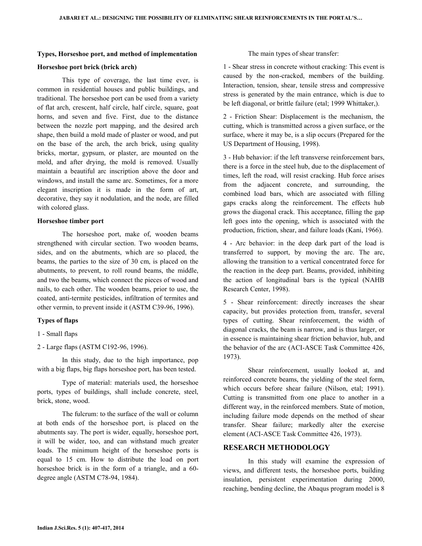#### Types, Horseshoe port, and method of implementation

#### Horseshoe port brick (brick arch)

 This type of coverage, the last time ever, is common in residential houses and public buildings, and traditional. The horseshoe port can be used from a variety of flat arch, crescent, half circle, half circle, square, goat horns, and seven and five. First, due to the distance between the nozzle port mapping, and the desired arch shape, then build a mold made of plaster or wood, and put on the base of the arch, the arch brick, using quality bricks, mortar, gypsum, or plaster, are mounted on the mold, and after drying, the mold is removed. Usually maintain a beautiful arc inscription above the door and windows, and install the same arc. Sometimes, for a more elegant inscription it is made in the form of art, decorative, they say it nodulation, and the node, are filled with colored glass.

#### Horseshoe timber port

 The horseshoe port, make of, wooden beams strengthened with circular section. Two wooden beams, sides, and on the abutments, which are so placed, the beams, the parties to the size of 30 cm, is placed on the abutments, to prevent, to roll round beams, the middle, and two the beams, which connect the pieces of wood and nails, to each other. The wooden beams, prior to use, the coated, anti-termite pesticides, infiltration of termites and other vermin, to prevent inside it (ASTM C39-96, 1996).

#### Types of flaps

1 - Small flaps

2 - Large flaps (ASTM C192-96, 1996).

 In this study, due to the high importance, pop with a big flaps, big flaps horseshoe port, has been tested.

 Type of material: materials used, the horseshoe ports, types of buildings, shall include concrete, steel, brick, stone, wood.

 The fulcrum: to the surface of the wall or column at both ends of the horseshoe port, is placed on the abutments say. The port is wider, equally, horseshoe port, it will be wider, too, and can withstand much greater loads. The minimum height of the horseshoe ports is equal to 15 cm. How to distribute the load on port horseshoe brick is in the form of a triangle, and a 60 degree angle (ASTM C78-94, 1984).

#### The main types of shear transfer:

1 - Shear stress in concrete without cracking: This event is caused by the non-cracked, members of the building. Interaction, tension, shear, tensile stress and compressive stress is generated by the main entrance, which is due to be left diagonal, or brittle failure (etal; 1999 Whittaker,).

2 - Friction Shear: Displacement is the mechanism, the cutting, which is transmitted across a given surface, or the surface, where it may be, is a slip occurs (Prepared for the US Department of Housing, 1998).

3 - Hub behavior: if the left transverse reinforcement bars, there is a force in the steel hub, due to the displacement of times, left the road, will resist cracking. Hub force arises from the adjacent concrete, and surrounding, the combined load bars, which are associated with filling gaps cracks along the reinforcement. The effects hub grows the diagonal crack. This acceptance, filling the gap left goes into the opening, which is associated with the production, friction, shear, and failure loads (Kani, 1966).

4 - Arc behavior: in the deep dark part of the load is transferred to support, by moving the arc. The arc, allowing the transition to a vertical concentrated force for the reaction in the deep part. Beams, provided, inhibiting the action of longitudinal bars is the typical (NAHB Research Center, 1998).

5 - Shear reinforcement: directly increases the shear capacity, but provides protection from, transfer, several types of cutting. Shear reinforcement, the width of diagonal cracks, the beam is narrow, and is thus larger, or in essence is maintaining shear friction behavior, hub, and the behavior of the arc (ACI-ASCE Task Committee 426, 1973).

 Shear reinforcement, usually looked at, and reinforced concrete beams, the yielding of the steel form, which occurs before shear failure (Nilson, etal; 1991). Cutting is transmitted from one place to another in a different way, in the reinforced members. State of motion, including failure mode depends on the method of shear transfer. Shear failure; markedly alter the exercise element (ACI-ASCE Task Committee 426, 1973).

## RESEARCH METHODOLOGY

 In this study will examine the expression of views, and different tests, the horseshoe ports, building insulation, persistent experimentation during 2000, reaching, bending decline, the Abaqus program model is 8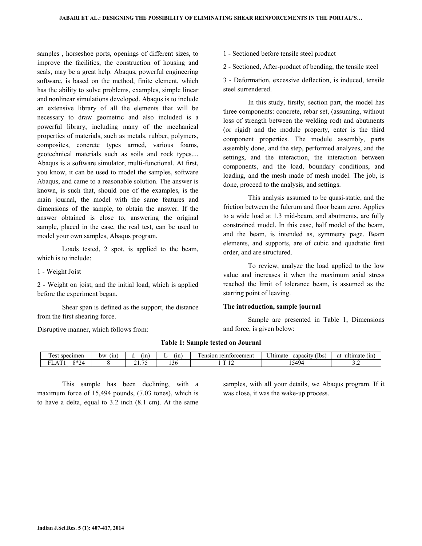samples , horseshoe ports, openings of different sizes, to improve the facilities, the construction of housing and seals, may be a great help. Abaqus, powerful engineering software, is based on the method, finite element, which has the ability to solve problems, examples, simple linear and nonlinear simulations developed. Abaqus is to include an extensive library of all the elements that will be necessary to draw geometric and also included is a powerful library, including many of the mechanical properties of materials, such as metals, rubber, polymers, composites, concrete types armed, various foams, geotechnical materials such as soils and rock types.... Abaqus is a software simulator, multi-functional. At first, you know, it can be used to model the samples, software Abaqus, and came to a reasonable solution. The answer is known, is such that, should one of the examples, is the main journal, the model with the same features and dimensions of the sample, to obtain the answer. If the answer obtained is close to, answering the original sample, placed in the case, the real test, can be used to model your own samples, Abaqus program.

 Loads tested, 2 spot, is applied to the beam, which is to include:

1 - Weight Joist

2 - Weight on joist, and the initial load, which is applied before the experiment began.

 Shear span is defined as the support, the distance from the first shearing force.

Disruptive manner, which follows from:

1 - Sectioned before tensile steel product

2 - Sectioned, After-product of bending, the tensile steel

3 - Deformation, excessive deflection, is induced, tensile steel surrendered.

 In this study, firstly, section part, the model has three components: concrete, rebar set, (assuming, without loss of strength between the welding rod) and abutments (or rigid) and the module property, enter is the third component properties. The module assembly, parts assembly done, and the step, performed analyzes, and the settings, and the interaction, the interaction between components, and the load, boundary conditions, and loading, and the mesh made of mesh model. The job, is done, proceed to the analysis, and settings.

 This analysis assumed to be quasi-static, and the friction between the fulcrum and floor beam zero. Applies to a wide load at 1.3 mid-beam, and abutments, are fully constrained model. In this case, half model of the beam, and the beam, is intended as, symmetry page. Beam elements, and supports, are of cubic and quadratic first order, and are structured.

 To review, analyze the load applied to the low value and increases it when the maximum axial stress reached the limit of tolerance beam, is assumed as the starting point of leaving.

## The introduction, sample journal

 Sample are presented in Table 1, Dimensions and force, is given below:

| m<br>specimen<br>$\alpha$<br>ັບວເ       | ′ in ≀<br>bw | ın<br>u            | ' in<br> | $\sim$<br>reinforcement<br>ension | $\sim$<br><b>J</b> Itimate<br>[Ibs]<br>capacity   | . .<br>(nn)<br>at<br>ultimate |
|-----------------------------------------|--------------|--------------------|----------|-----------------------------------|---------------------------------------------------|-------------------------------|
| $0 * \Omega$<br>--<br>company of<br>, Д |              | $\sim$ $\sim$<br>- | ٦r       | $\sim$<br>--                      | $\overline{\phantom{0}}$<br>44ء<br>エノ<br><u>.</u> | $\sim$ . $\sim$               |

Table 1: Sample tested on Journal

 This sample has been declining, with a maximum force of 15,494 pounds, (7.03 tones), which is to have a delta, equal to 3.2 inch (8.1 cm). At the same samples, with all your details, we Abaqus program. If it was close, it was the wake-up process.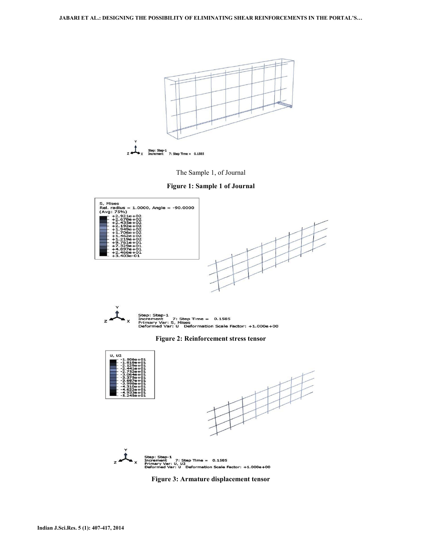



Figure 1: Sample 1 of Journal





Figure 2: Reinforcement stress tensor



Figure 3: Armature displacement tensor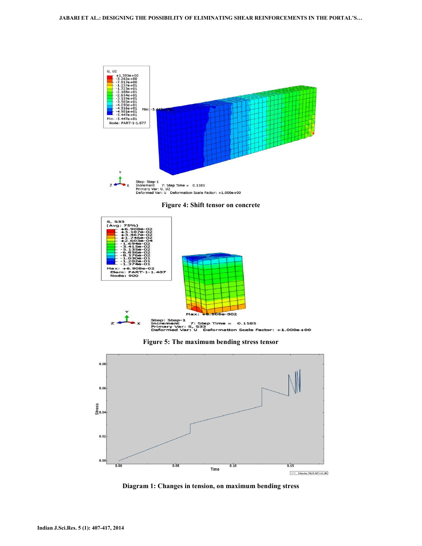





Figure 5: The maximum bending stress tensor



Diagram 1: Changes in tension, on maximum bending stress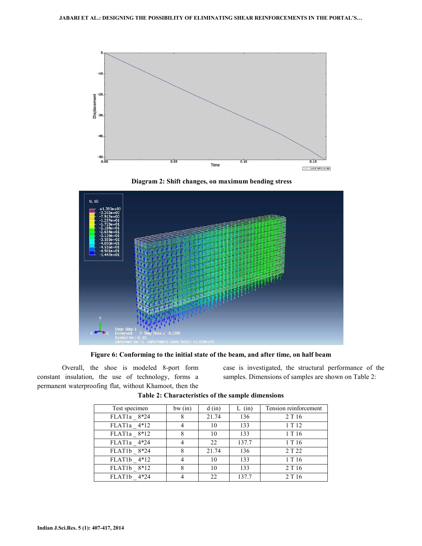





Figure 6: Conforming to the initial state of the beam, and after time, on half beam

 Overall, the shoe is modeled 8-port form constant insulation, the use of technology, forms a permanent waterproofing flat, without Khamoot, then the case is investigated, the structural performance of the samples. Dimensions of samples are shown on Table 2:

| Test specimen            | bw(in) | $d$ (in) | $L$ (in) | Tension reinforcement |
|--------------------------|--------|----------|----------|-----------------------|
| FLAT1a 8*24              |        | 21.74    | 136      | 2 T 16                |
| FLAT1a 4*12              |        | 10       | 133      | 1T12                  |
| FLAT <sub>1</sub> a 8*12 |        | 10       | 133      | 1 T 16                |
| FLAT1a 4*24              |        | 22       | 137.7    | 1 T 16                |
| FLAT1b 8*24              | 8      | 21.74    | 136      | 2 T 22                |
| FLAT1b 4*12              | 4      | 10       | 133      | 1 T 16                |
| FLAT1b 8*12              |        | 10       | 133      | 2 T 16                |
| FLAT1b 4*24              |        | 22       | 137.7    | 2 T 16                |

Table 2: Characteristics of the sample dimensions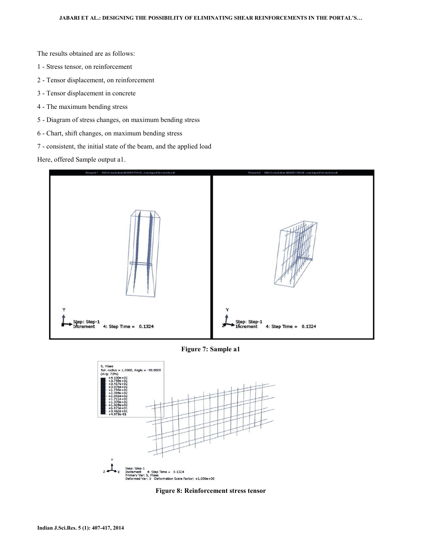The results obtained are as follows:

- 1 Stress tensor, on reinforcement
- 2 Tensor displacement, on reinforcement
- 3 Tensor displacement in concrete
- 4 The maximum bending stress
- 5 Diagram of stress changes, on maximum bending stress
- 6 Chart, shift changes, on maximum bending stress
- 7 consistent, the initial state of the beam, and the applied load

Here, offered Sample output a1.



Figure 7: Sample a1



Figure 8: Reinforcement stress tensor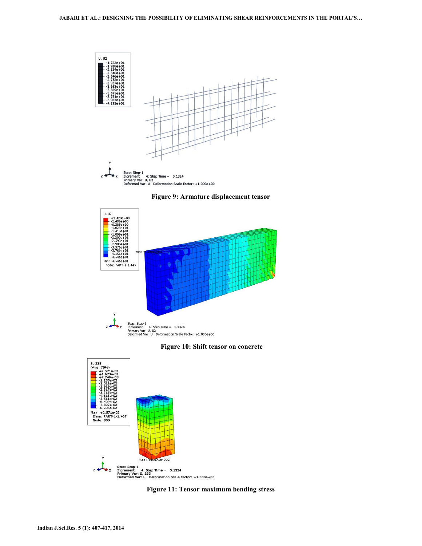

Figure 9: Armature displacement tensor



Figure 10: Shift tensor on concrete



Figure 11: Tensor maximum bending stress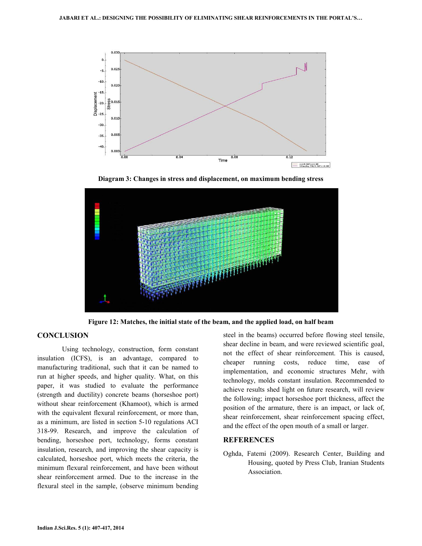

Diagram 3: Changes in stress and displacement, on maximum bending stress



Figure 12: Matches, the initial state of the beam, and the applied load, on half beam

## **CONCLUSION**

 Using technology, construction, form constant insulation (ICFS), is an advantage, compared to manufacturing traditional, such that it can be named to run at higher speeds, and higher quality. What, on this paper, it was studied to evaluate the performance (strength and ductility) concrete beams (horseshoe port) without shear reinforcement (Khamoot), which is armed with the equivalent flexural reinforcement, or more than, as a minimum, are listed in section 5-10 regulations ACI 318-99. Research, and improve the calculation of bending, horseshoe port, technology, forms constant insulation, research, and improving the shear capacity is calculated, horseshoe port, which meets the criteria, the minimum flexural reinforcement, and have been without shear reinforcement armed. Due to the increase in the flexural steel in the sample, (observe minimum bending

steel in the beams) occurred before flowing steel tensile, shear decline in beam, and were reviewed scientific goal, not the effect of shear reinforcement. This is caused, cheaper running costs, reduce time, ease of implementation, and economic structures Mehr, with technology, molds constant insulation. Recommended to achieve results shed light on future research, will review the following; impact horseshoe port thickness, affect the position of the armature, there is an impact, or lack of, shear reinforcement, shear reinforcement spacing effect, and the effect of the open mouth of a small or larger.

## REFERENCES

Oghda, Fatemi (2009). Research Center, Building and Housing, quoted by Press Club, Iranian Students Association.